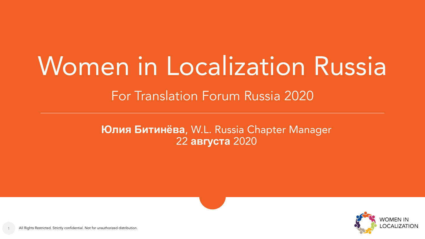# Women in Localization Russia

For Translation Forum Russia 2020

**Юлия Битинёва**, W.L. Russia Chapter Manager 22 **августа** 2020

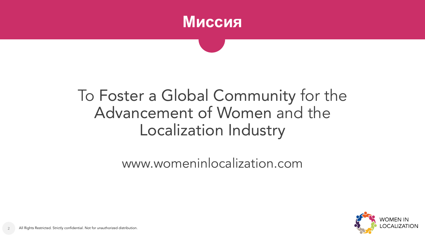

#### To Foster a Global Community for the Advancement of Women and the Localization Industry

www.womeninlocalization.com

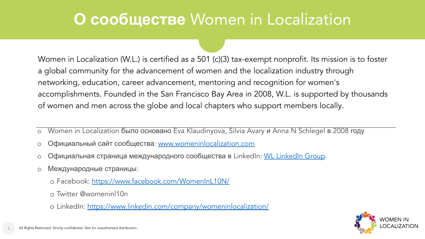#### **О сообществе** Women in Localization

Women in Localization (W.L.) is certified as a 501 (c)(3) tax-exempt nonprofit. Its mission is to foster a global community for the advancement of women and the localization industry through networking, education, career advancement, mentoring and recognition for women's accomplishments. Founded in the San Francisco Bay Area in 2008, W.L. is supported by thousands of women and men across the globe and local chapters who support members locally.

- o Women in Localization было основано Eva Klaudinyova, Silvia Avary и Anna N Schlegel в 2008 году
- o Официальный сайт сообщества: [www.womeninlocalization.com](http://www.womeninlocalization.com)
- o Официальная страница международного сообщества в LinkedIn: [WL LinkedIn Group](https://www.linkedin.com/groups/911827/).
- o Международные страницы:
	- o Facebook:<https://www.facebook.com/WomenInL10N/>
	- o Twitter @womeninl10n
	- o LinkedIn:<https://www.linkedin.com/company/womeninlocalization/>

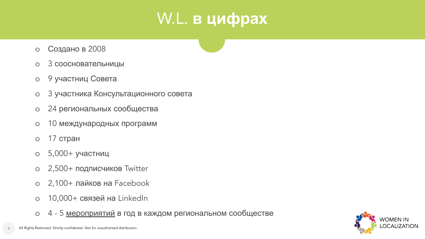# W.L. **в цифрах**

- o Создано в 2008
- o 3 соосновательницы
- o 9 участниц Совета
- o 3 участника Консультационного совета
- o 24 региональных сообщества
- o 10 международных программ
- o 17 стран
- o 5,000+ участниц
- o 2,500+ подписчиков Twitter
- o 2,100+ лайков на Facebook
- o 10,000+ связей на LinkedIn
- o 4 5 [мероприятий](https://womeninlocalization.com/future-events/) в год в каждом региональном сообществе

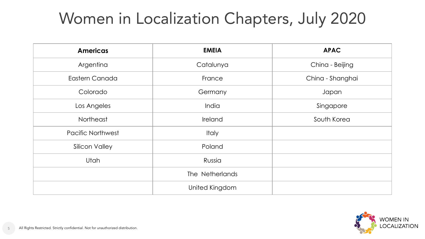# Women in Localization Chapters, July 2020

| <b>Americas</b>          | <b>EMEIA</b>    | <b>APAC</b>      |
|--------------------------|-----------------|------------------|
| Argentina                | Catalunya       | China - Beijing  |
| Eastern Canada           | France          | China - Shanghai |
| Colorado                 | Germany         | Japan            |
| Los Angeles              | India           | Singapore        |
| Northeast                | Ireland         | South Korea      |
| <b>Pacific Northwest</b> | Italy           |                  |
| Silicon Valley           | Poland          |                  |
| Utah                     | Russia          |                  |
|                          | The Netherlands |                  |
|                          | United Kingdom  |                  |

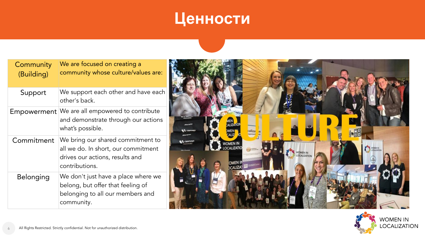## **Ценности**

| Community<br>(Building) | We are focused on creating a<br>community whose culture/values are:                                                           |
|-------------------------|-------------------------------------------------------------------------------------------------------------------------------|
| Support                 | We support each other and have each<br>other's back.                                                                          |
| Empowerment             | We are all empowered to contribute<br>and demonstrate through our actions<br>what's possible.                                 |
| Commitment              | We bring our shared commitment to<br>all we do. In short, our commitment<br>drives our actions, results and<br>contributions. |
| <b>Belonging</b>        | We don't just have a place where we<br>belong, but offer that feeling of<br>belonging to all our members and<br>community.    |



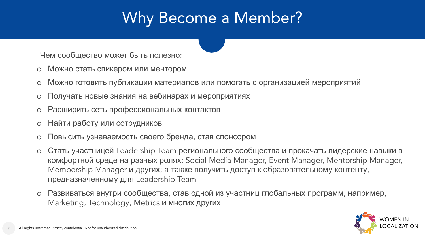# Why Become a Member?

Чем сообщество может быть полезно:

- o Можно стать спикером или ментором
- o Можно готовить публикации материалов или помогать с организацией мероприятий
- o Получать новые знания на вебинарах и мероприятиях
- o Расширить сеть профессиональных контактов
- o Найти работу или сотрудников
- o Повысить узнаваемость своего бренда, став спонсором
- o Стать участницей Leadership Team регионального сообщества и прокачать лидерские навыки в комфортной среде на разных ролях: Social Media Manager, Event Manager, Mentorship Manager, Membership Manager и других; а также получить доступ к образовательному контенту, предназначенному для Leadership Team
- o Развиваться внутри сообщества, став одной из участниц глобальных программ, например, Marketing, Technology, Metrics и многих других

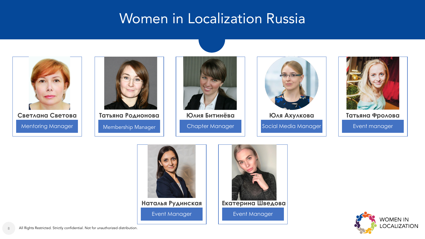#### Women in Localization Russia





Membership Manager



Chapter Manager **Юлия Битинёва**



Social Media Manager



Event manager **Ȁатьяна Фролова**





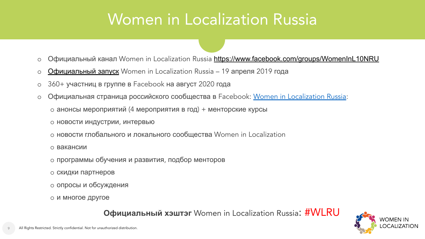#### Women in Localization Russia

- o Официальный канал Women in Localization Russia <https://www.facebook.com/groups/WomenInL10NRU>
- o [Официальный](https://womeninlocalization.com/women-localization-announce-new-russia-chapter/) запуск Women in Localization Russia 19 апреля 2019 года
- o 360+ участниц в группе в Facebook на август 2020 года
- o Официальная страница российского сообщества в Facebook: [Women in Localization Russia](https://www.facebook.com/groups/WomenInL10NRU/):
	- o анонсы мероприятий (4 мероприятия в год) + менторские курсы
	- o новости индустрии, интервью
	- o новости глобального и локального сообщества Women in Localization
	- o вакансии
	- o программы обучения и развития, подбор менторов
	- o скидки партнеров
	- o опросы и обсуждения
	- o и многое другое

**Официальный хэштэг** Women in Localization Russia: #WLRU

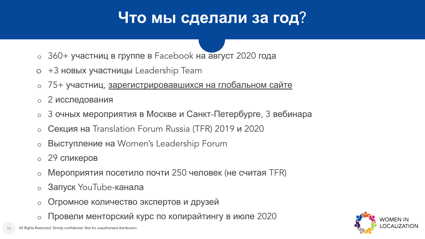# **Что мы сделали за год**?

- o 360+ участниц в группе в Facebook на август 2020 года
- o +3 новых участницы Leadership Team
- o 75+ участниц, [зарегистрировавшихся](https://womeninlocalization.com/sign-up/) на глобальном сайте
- o 2 исследования
- o 3 очных мероприятия в Москве и Санкт-Петербурге, 3 вебинара
- o Секция на Translation Forum Russia (TFR) 2019 и 2020
- o Выступление на Women's Leadership Forum
- o 29 спикеров
- o Мероприятия посетило почти 250 человек (не считая TFR)
- o Запуск YouTube-канала
- o Огромное количество экспертов и друзей
- o Провели менторский курс по копирайтингу в июле 2020